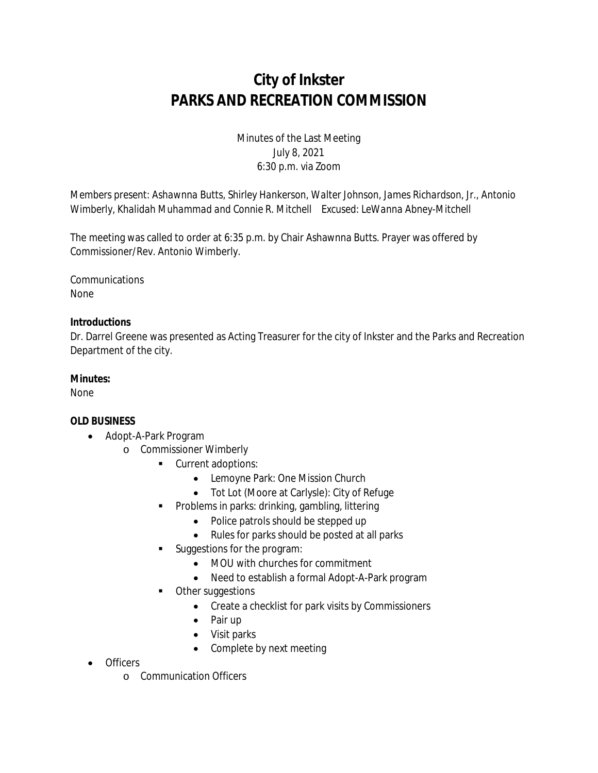# **City of Inkster PARKS AND RECREATION COMMISSION**

## Minutes of the Last Meeting July 8, 2021 6:30 p.m. via Zoom

*Members present: Ashawnna Butts, Shirley Hankerson, Walter Johnson, James Richardson, Jr., Antonio Wimberly, Khalidah Muhammad and Connie R. Mitchell Excused: LeWanna Abney-Mitchell*

The meeting was called to order at 6:35 p.m. by Chair Ashawnna Butts. Prayer was offered by Commissioner/Rev. Antonio Wimberly.

**Communications** None

### **Introductions**

Dr. Darrel Greene was presented as Acting Treasurer for the city of Inkster and the Parks and Recreation Department of the city.

#### **Minutes:**

None

#### **OLD BUSINESS**

- Adopt-A-Park Program
	- o Commissioner Wimberly
		- **Current adoptions:** 
			- Lemoyne Park: One Mission Church
			- Tot Lot (Moore at Carlysle): City of Refuge
		- **Problems in parks: drinking, gambling, littering** 
			- Police patrols should be stepped up
			- Rules for parks should be posted at all parks
		- Suggestions for the program:
			- MOU with churches for commitment
			- Need to establish a formal Adopt-A-Park program
		- Other suggestions
			- Create a checklist for park visits by Commissioners
			- Pair up
			- Visit parks
			- Complete by next meeting
- **Officers** 
	- o Communication Officers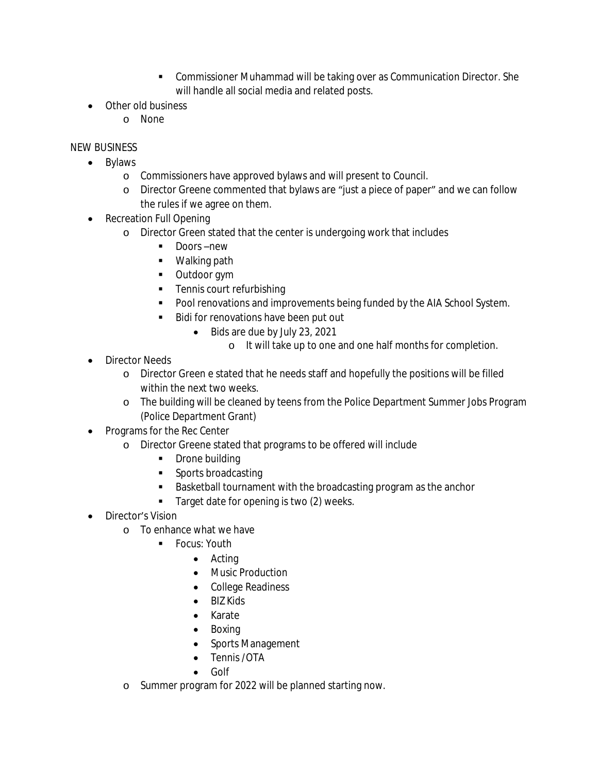- Commissioner Muhammad will be taking over as Communication Director. She will handle all social media and related posts.
- Other old business
	- o None

## NEW BUSINESS

- Bylaws
	- o Commissioners have approved bylaws and will present to Council.
	- o Director Greene commented that bylaws are "just a piece of paper" and we can follow the rules if we agree on them.
- Recreation Full Opening
	- o Director Green stated that the center is undergoing work that includes
		- Doors –new
		- **•** Walking path
		- **•** Outdoor gym
		- **Tennis court refurbishing**
		- **Pool renovations and improvements being funded by the AIA School System.**
		- Bidi for renovations have been put out
			- Bids are due by July 23, 2021
				- o It will take up to one and one half months for completion.
- Director Needs
	- o Director Green e stated that he needs staff and hopefully the positions will be filled within the next two weeks.
	- o The building will be cleaned by teens from the Police Department Summer Jobs Program (Police Department Grant)
- Programs for the Rec Center
	- o Director Greene stated that programs to be offered will include
		- Drone building
		- Sports broadcasting
		- **Basketball tournament with the broadcasting program as the anchor**
		- Target date for opening is two (2) weeks.
- Director's Vision
	- o To enhance what we have
		- **Focus: Youth** 
			- Acting
			- Music Production
			- College Readiness
			- BIZ Kids
			- Karate
			- Boxing
			- Sports Management
			- Tennis / OTA
			- Golf
	- o Summer program for 2022 will be planned starting now.